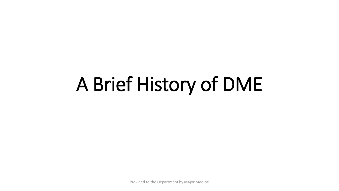# A Brief History of DME

Provided to the Department by Major Medical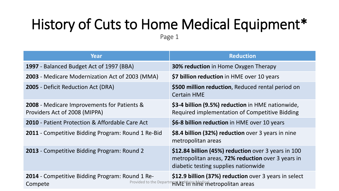# History of Cuts to Home Medical Equipment\*

Page 1

| Year                                                                         | <b>Reduction</b>                                                                                                                                 |  |  |
|------------------------------------------------------------------------------|--------------------------------------------------------------------------------------------------------------------------------------------------|--|--|
| 1997 - Balanced Budget Act of 1997 (BBA)                                     | <b>30% reduction</b> in Home Oxygen Therapy                                                                                                      |  |  |
| 2003 - Medicare Modernization Act of 2003 (MMA)                              | \$7 billion reduction in HME over 10 years                                                                                                       |  |  |
| <b>2005</b> - Deficit Reduction Act (DRA)                                    | \$500 million reduction, Reduced rental period on<br><b>Certain HME</b>                                                                          |  |  |
| 2008 - Medicare Improvements for Patients &<br>Providers Act of 2008 (MIPPA) | \$3-4 billion (9.5%) reduction in HME nationwide,<br>Required implementation of Competitive Bidding                                              |  |  |
| <b>2010</b> - Patient Protection & Affordable Care Act                       | \$6-8 billion reduction in HME over 10 years                                                                                                     |  |  |
| 2011 - Competitive Bidding Program: Round 1 Re-Bid                           | \$8.4 billion (32%) reduction over 3 years in nine<br>metropolitan areas                                                                         |  |  |
| 2013 - Competitive Bidding Program: Round 2                                  | \$12.84 billion (45%) reduction over 3 years in 100<br>metropolitan areas, 72% reduction over 3 years in<br>diabetic testing supplies nationwide |  |  |
| <b>2014</b> - Competitive Bidding Program: Round 1 Re-<br>Compete            | \$12.9 billion (37%) reduction over 3 years in select<br>Provided to the Department EMAM He intetropolitan areas                                 |  |  |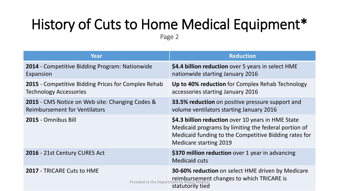# History of Cuts to Home Medical Equipment\*

Page 2

| Year                                                                                           | <b>Reduction</b>                                                                                                                                                                                     |  |  |
|------------------------------------------------------------------------------------------------|------------------------------------------------------------------------------------------------------------------------------------------------------------------------------------------------------|--|--|
| 2014 - Competitive Bidding Program: Nationwide<br>Expansion                                    | \$4.4 billion reduction over 5 years in select HME<br>nationwide starting January 2016                                                                                                               |  |  |
| 2015 - Competitive Bidding Prices for Complex Rehab<br><b>Technology Accessories</b>           | Up to 40% reduction for Complex Rehab Technology<br>accessories starting January 2016                                                                                                                |  |  |
| <b>2015</b> - CMS Notice on Web site: Changing Codes &<br><b>Reimbursement for Ventilators</b> | <b>33.5% reduction</b> on positive pressure support and<br>volume ventilators starting January 2016                                                                                                  |  |  |
| 2015 - Omnibus Bill                                                                            | \$4.3 billion reduction over 10 years in HME State<br>Medicaid programs by limiting the federal portion of<br>Medicaid funding to the Competitive Bidding rates for<br><b>Medicare starting 2019</b> |  |  |
| 2016 - 21st Century CURES Act                                                                  | \$370 million reduction over 1 year in advancing<br><b>Medicaid cuts</b>                                                                                                                             |  |  |
| <b>2017 - TRICARE Cuts to HME</b><br>Provided to the Departmen                                 | <b>30-60% reduction</b> on select HME driven by Medicare<br>reimbursement changes to which TRICARE is<br>statutorily tied                                                                            |  |  |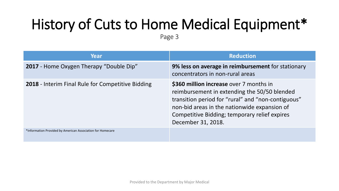# History of Cuts to Home Medical Equipment\*

Page 3

| Year                                                       | <b>Reduction</b>                                                                                                                                                                                                                                                     |
|------------------------------------------------------------|----------------------------------------------------------------------------------------------------------------------------------------------------------------------------------------------------------------------------------------------------------------------|
| 2017 - Home Oxygen Therapy "Double Dip"                    | 9% less on average in reimbursement for stationary<br>concentrators in non-rural areas                                                                                                                                                                               |
| 2018 - Interim Final Rule for Competitive Bidding          | \$360 million increase over 7 months in<br>reimbursement in extending the 50/50 blended<br>transition period for "rural" and "non-contiguous"<br>non-bid areas in the nationwide expansion of<br>Competitive Bidding; temporary relief expires<br>December 31, 2018. |
| *Information Provided by American Association for Homecare |                                                                                                                                                                                                                                                                      |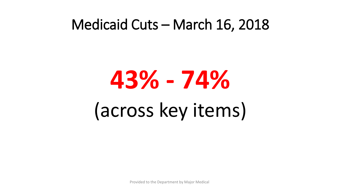#### Medicaid Cuts – March 16, 2018

# **43% - 74%** (across key items)

Provided to the Department by Major Medical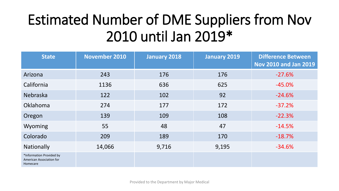# Estimated Number of DME Suppliers from Nov 2010 until Jan 2019\*

| <b>State</b>                                                     | <b>November 2010</b> | <b>January 2018</b> | <b>January 2019</b> | <b>Difference Between</b><br><b>Nov 2010 and Jan 2019</b> |
|------------------------------------------------------------------|----------------------|---------------------|---------------------|-----------------------------------------------------------|
| Arizona                                                          | 243                  | 176                 | 176                 | $-27.6%$                                                  |
| California                                                       | 1136                 | 636                 | 625                 | $-45.0%$                                                  |
| <b>Nebraska</b>                                                  | 122                  | 102                 | 92                  | $-24.6%$                                                  |
| Oklahoma                                                         | 274                  | 177                 | 172                 | $-37.2%$                                                  |
| Oregon                                                           | 139                  | 109                 | 108                 | $-22.3%$                                                  |
| Wyoming                                                          | 55                   | 48                  | 47                  | $-14.5%$                                                  |
| Colorado                                                         | 209                  | 189                 | 170                 | $-18.7%$                                                  |
| Nationally                                                       | 14,066               | 9,716               | 9,195               | $-34.6%$                                                  |
| *Information Provided by<br>American Association for<br>Homecare |                      |                     |                     |                                                           |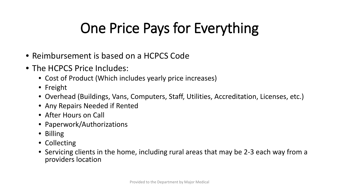# One Price Pays for Everything

- Reimbursement is based on a HCPCS Code
- The HCPCS Price Includes:
	- Cost of Product (Which includes yearly price increases)
	- Freight
	- Overhead (Buildings, Vans, Computers, Staff, Utilities, Accreditation, Licenses, etc.)
	- Any Repairs Needed if Rented
	- After Hours on Call
	- Paperwork/Authorizations
	- Billing
	- Collecting
	- Servicing clients in the home, including rural areas that may be 2-3 each way from a providers location